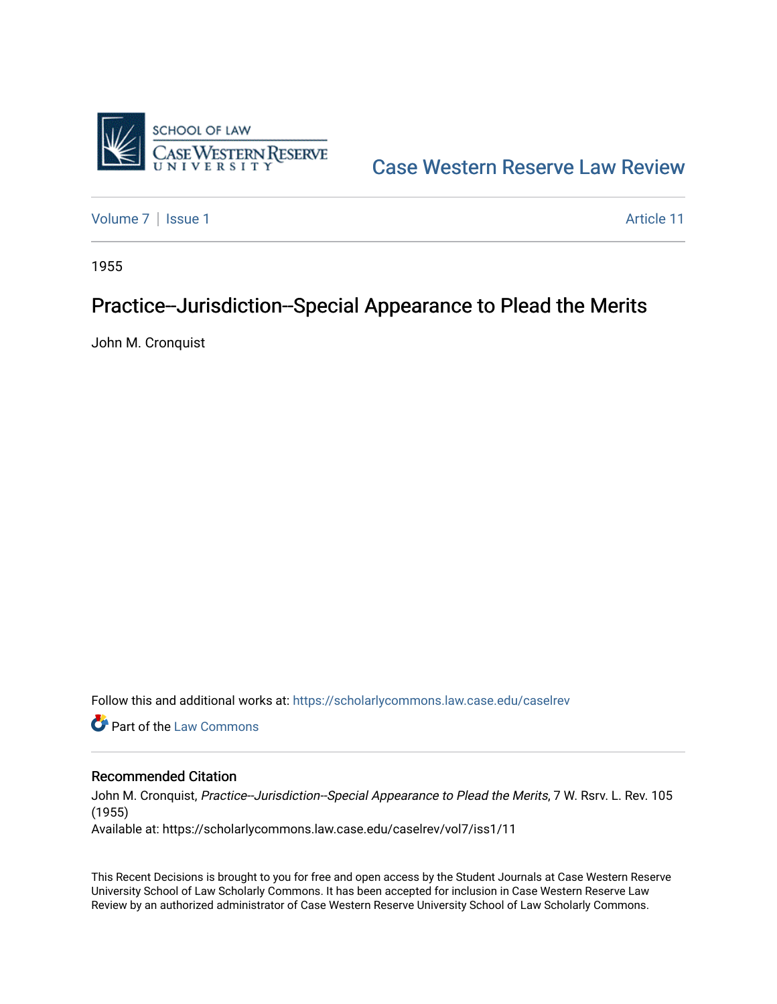

[Case Western Reserve Law Review](https://scholarlycommons.law.case.edu/caselrev) 

[Volume 7](https://scholarlycommons.law.case.edu/caselrev/vol7) | [Issue 1](https://scholarlycommons.law.case.edu/caselrev/vol7/iss1) Article 11

1955

# Practice--Jurisdiction--Special Appearance to Plead the Merits

John M. Cronquist

Follow this and additional works at: [https://scholarlycommons.law.case.edu/caselrev](https://scholarlycommons.law.case.edu/caselrev?utm_source=scholarlycommons.law.case.edu%2Fcaselrev%2Fvol7%2Fiss1%2F11&utm_medium=PDF&utm_campaign=PDFCoverPages)

**C** Part of the [Law Commons](http://network.bepress.com/hgg/discipline/578?utm_source=scholarlycommons.law.case.edu%2Fcaselrev%2Fvol7%2Fiss1%2F11&utm_medium=PDF&utm_campaign=PDFCoverPages)

# Recommended Citation

John M. Cronquist, Practice--Jurisdiction--Special Appearance to Plead the Merits, 7 W. Rsrv. L. Rev. 105 (1955)

Available at: https://scholarlycommons.law.case.edu/caselrev/vol7/iss1/11

This Recent Decisions is brought to you for free and open access by the Student Journals at Case Western Reserve University School of Law Scholarly Commons. It has been accepted for inclusion in Case Western Reserve Law Review by an authorized administrator of Case Western Reserve University School of Law Scholarly Commons.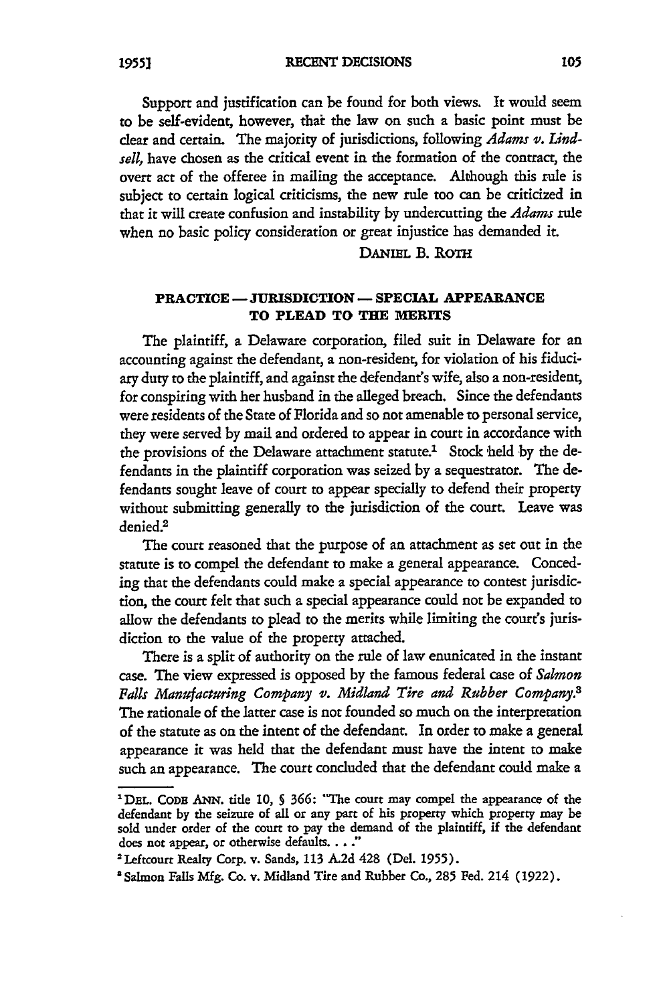**RECENT DECISIONS**

Support and justification can be found for both views. It would seem to be self-evident, however, that the law on such a basic point must be dear and certain. The majority of jurisdictions, following *Adams v. Lindsell,* have chosen as the critical event in the formation of the contract, the overt act of the offeree in mailing the acceptance. Although this rule is subject to certain logical criticisms, the new rule too can be criticized in that it will create confusion and instability by undercutting the *Adams rule* when no basic policy consideration or great injustice has demanded it

## **DANIEL B. ROTH**

#### **PRACTICE - JURISDICTION - SPECIAL APPEARANCE TO PLEAD TO THE MERITS**

The plaintiff, a Delaware corporation, filed suit in Delaware for an accounting against the defendant, a non-resident, for violation of his fiduciary duty to the plaintiff, and against the defendant's wife, also a non-resident, for conspiring with her husband in the alleged breach. Since the defendants were residents of the State of Florida and so not amenable to personal service, they were served by mail and ordered to appear in court in accordance with the provisions of the Delaware attachment statute.<sup>1</sup> Stock held by the defendants in the plaintiff corporation was seized by a sequestrator. The defendants sought leave of court to appear specially to defend their property without submitting generally to the jurisdiction of the court. Leave was denied.<sup>2</sup>

The court reasoned that the purpose of an attachment as set out in the statute is to compel the defendant to make a general appearance. Conceding that the defendants could make a special appearance to contest jurisdiction, the court felt that such a special appearance could not be expanded to allow the defendants to plead to the merits while limiting the court's jurisdiction to the value of the property attached.

There is a split of authority on the rule of law enunicated in the instant case. The view expressed is opposed by the famous federal case of *Salmon Falls Manufacturing Company* v. *Midland Tire and Rubber Company.3* The rationale of the latter case is not founded so much on the interpretation of the statute as on the intent of the defendant. In order to make a general appearance it was held that the defendant must have the intent to make such an appearance. The court concluded that the defendant could make a

**<sup>&#</sup>x27;DEL. CODE ANN. title 10, §** 366: "The court may compel the appearance of the defendant by the seizure of all or any part of his property which property may be sold under order of the court to pay the demand of the plaintiff, if the defendant does not appear, or otherwise defaults. . . ."

<sup>2</sup> Leftcourt Realty Corp. v. Sands, 113 A.2d 428 (Del. 1955).

<sup>&#</sup>x27;Salmon Falls Mfg. **Co.** v. Midland Tire and Rubber Co., 285 Fed. 214 (1922).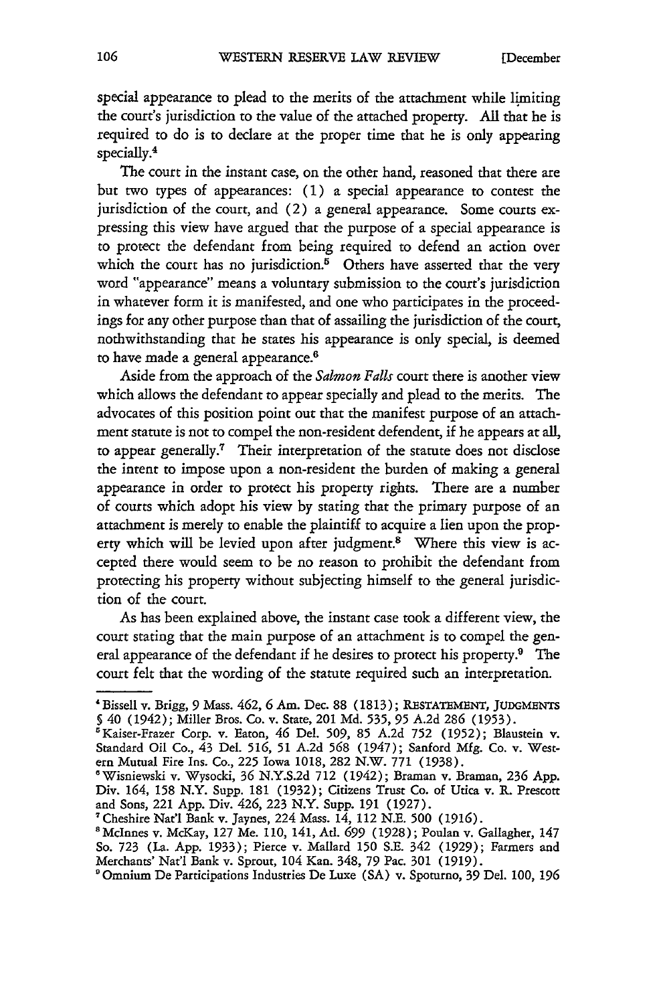special appearance to plead to the merits of the attachment while limiting the court's jurisdiction to the value of the attached property. All that he is required to do is to declare at the proper time that he is only appearing specially.4

The court in the instant case, on the other hand, reasoned that there are but two types of appearances: (1) a special appearance to contest the jurisdiction of the court, and (2) a general appearance. Some courts expressing this view have argued that the purpose of a special appearance is to protect the defendant from being required to defend an action over which the court has no jurisdiction. $\overline{5}$  Others have asserted that the very word "appearance" means a voluntary submission to the court's jurisdiction in whatever form it is manifested, and one who participates in the proceedings for any other purpose than that of assailing the jurisdiction of the court, nothwithstanding that he states his appearance is only special, is deemed to have made a general appearance.<sup>6</sup>

Aside from the approach of the *Salmon Falls* court there is another view which allows the defendant to appear specially and plead to the merits. The advocates of this position point out that the manifest purpose of an attachment statute is not to compel the non-resident defendent, if he appears at all, to appear generally.7 Their interpretation of the statute does not disclose the intent to impose upon a non-resident the burden of making a general appearance in order to protect his property rights. There are a number of courts which adopt his view by stating that the primary purpose of an attachment is merely to enable the plaintiff to acquire a lien upon the property which will be levied upon after judgment.8 Where this view is accepted there would seem to be no reason to prohibit the defendant from protecting his property without subjecting himself to the general jurisdiction of the court.

As has been explained above, the instant case took a different view, the court stating that the main purpose of an attachment is to compel the general appearance of the defendant if he desires to protect his property.9 The court felt that the wording of the statute required such an interpretation.

**<sup>&</sup>quot;** Bissell v. Brigg, 9 Mass. 462, **6** Am. Dec. 88 (1813); RESTATEMENT, **JUDGMENTS §** 40 (1942); Miller Bros. Co. v. State, 201 Md. **535,** 95 A.2d **286** (1953).

<sup>&#</sup>x27;Kaiser-Frazer Corp. v. Eaton, 46 Del. 509, **85** A.2d **752** (1952); Blaustein v. Standard Oil Co., 43 Del. **516,** 51 A.2d **568** (1947); Sanford **Mfg.** Co. v. Western Mutual Fire Ins. Co., 225 Iowa **1018,** 282 N.W. 771 (1938).

<sup>&#</sup>x27;Wisniewski v. Wysocki, **36** N.Y.S.2d 712 (1942); Braman v. Braman, **236** App. Div. 164, 158 N.Y. Supp. 181 (1932); Citizens Trust Co. of Utica v. R. Prescott and Sons, 221 App. Div. 426, 223 N.Y. Supp. 191 (1927).

<sup>&</sup>lt;sup>7</sup> Cheshire Nat'l Bank v. Jaynes, 224 Mass. 14, 112 N.E. 500 (1916).<br><sup>8</sup> McInnes v. McKay, 127 Me. 110, 141, Atl. 699 (1928); Poulan v. Gallagher, 147

So. 723 (La. App. 1933); Pierce v. Mallard 150 S.E. 342 (1929); Farmers and Merchants' Nat'l Bank v. Sprout, 104 Kan. 348, 79 Pac. 301 (1919).

<sup>&#</sup>x27;Omnium De Participations Industries De Luxe (SA) v. Spoturno, 39 Del. 100, **196**